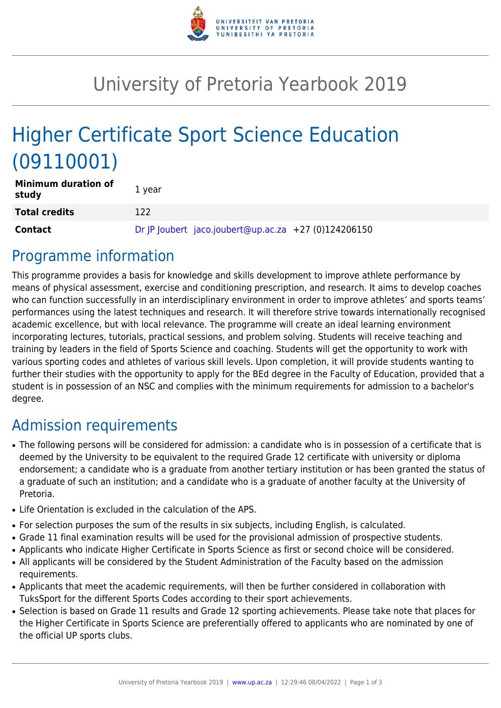

# University of Pretoria Yearbook 2019

# Higher Certificate Sport Science Education (09110001)

| <b>Minimum duration of</b><br>study | 1 year                                               |  |
|-------------------------------------|------------------------------------------------------|--|
| <b>Total credits</b>                | 122                                                  |  |
| <b>Contact</b>                      | Dr  P  oubert jaco.joubert@up.ac.za +27 (0)124206150 |  |

## Programme information

This programme provides a basis for knowledge and skills development to improve athlete performance by means of physical assessment, exercise and conditioning prescription, and research. It aims to develop coaches who can function successfully in an interdisciplinary environment in order to improve athletes' and sports teams' performances using the latest techniques and research. It will therefore strive towards internationally recognised academic excellence, but with local relevance. The programme will create an ideal learning environment incorporating lectures, tutorials, practical sessions, and problem solving. Students will receive teaching and training by leaders in the field of Sports Science and coaching. Students will get the opportunity to work with various sporting codes and athletes of various skill levels. Upon completion, it will provide students wanting to further their studies with the opportunity to apply for the BEd degree in the Faculty of Education, provided that a student is in possession of an NSC and complies with the minimum requirements for admission to a bachelor's degree.

## Admission requirements

- The following persons will be considered for admission: a candidate who is in possession of a certificate that is deemed by the University to be equivalent to the required Grade 12 certificate with university or diploma endorsement; a candidate who is a graduate from another tertiary institution or has been granted the status of a graduate of such an institution; and a candidate who is a graduate of another faculty at the University of Pretoria.
- Life Orientation is excluded in the calculation of the APS.
- For selection purposes the sum of the results in six subjects, including English, is calculated.
- Grade 11 final examination results will be used for the provisional admission of prospective students.
- Applicants who indicate Higher Certificate in Sports Science as first or second choice will be considered.
- All applicants will be considered by the Student Administration of the Faculty based on the admission requirements.
- Applicants that meet the academic requirements, will then be further considered in collaboration with TuksSport for the different Sports Codes according to their sport achievements.
- Selection is based on Grade 11 results and Grade 12 sporting achievements. Please take note that places for the Higher Certificate in Sports Science are preferentially offered to applicants who are nominated by one of the official UP sports clubs.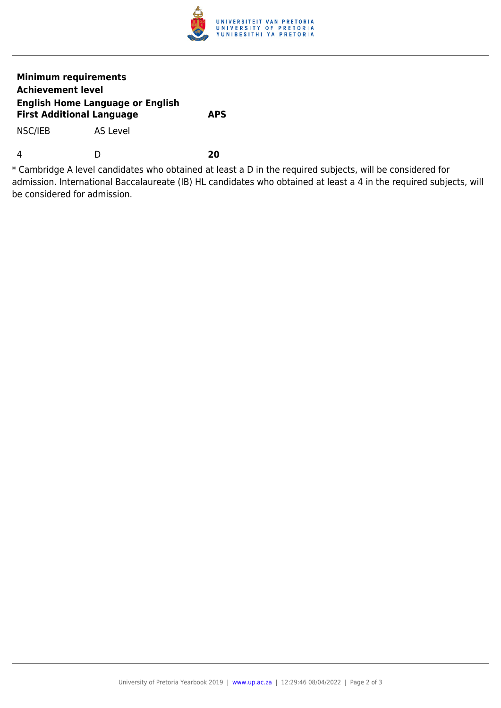

#### **Minimum requirements Achievement level English Home Language or English First Additional Language APS**

NSC/IEB AS Level

4 D **20**

\* Cambridge A level candidates who obtained at least a D in the required subjects, will be considered for admission. International Baccalaureate (IB) HL candidates who obtained at least a 4 in the required subjects, will be considered for admission.